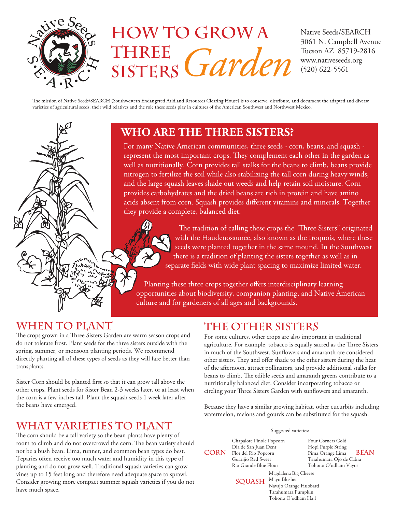

# **How to Grow a Three Sisters**  Garden (520) 622-5561

Native Seeds/SEARCH 3061 N. Campbell Avenue Tucson AZ 85719-2816

The mission of Native Seeds/SEARCH (Southwestern Endangered Aridland Resources Clearing House) is to conserve, distribute, and document the adapted and diverse varieties of agricultural seeds, their wild relatives and the role these seeds play in cultures of the American Southwest and Northwest Mexico.



# **WHO ARE THE THREE SISTERS?**

For many Native American communities, three seeds - corn, beans, and squash represent the most important crops. They complement each other in the garden as well as nutritionally. Corn provides tall stalks for the beans to climb, beans provide nitrogen to fertilize the soil while also stabilizing the tall corn during heavy winds, and the large squash leaves shade out weeds and help retain soil moisture. Corn provides carbohydrates and the dried beans are rich in protein and have amino acids absent from corn. Squash provides different vitamins and minerals. Together they provide a complete, balanced diet.



The tradition of calling these crops the "Three Sisters" originated with the Haudenosaunee, also known as the Iroquois, where these seeds were planted together in the same mound. In the Southwest there is a tradition of planting the sisters together as well as in separate fields with wide plant spacing to maximize limited water.

 Planting these three crops together offers interdisciplinary learning opportunities about biodiversity, companion planting, and Native American culture and for gardeners of all ages and backgrounds.

## **When to Plant**

The crops grown in a Three Sisters Garden are warm season crops and do not tolerate frost. Plant seeds for the three sisters outside with the spring, summer, or monsoon planting periods. We recommend directly planting all of these types of seeds as they will fare better than transplants.

Sister Corn should be planted first so that it can grow tall above the other crops. Plant seeds for Sister Bean 2-3 weeks later, or at least when the corn is a few inches tall. Plant the squash seeds 1 week later after the beans have emerged.

### **wHAT varieties TO pLANT**

The corn should be a tall variety so the bean plants have plenty of room to climb and do not overcrowd the corn. The bean variety should not be a bush bean. Lima, runner, and common bean types do best. Teparies often receive too much water and humidity in this type of planting and do not grow well. Traditional squash varieties can grow vines up to 15 feet long and therefore need adequate space to sprawl. Consider growing more compact summer squash varieties if you do not have much space.

## **The Other Sisters**

For some cultures, other crops are also important in traditional agriculture. For example, tobacco is equally sacred as the Three Sisters in much of the Southwest. Sunflowers and amaranth are considered other sisters. They and offer shade to the other sisters during the heat of the afternoon, attract pollinators, and provide additional stalks for beans to climb. The edible seeds and amaranth greens contribute to a nutritionally balanced diet. Consider incorporating tobacco or circling your Three Sisters Garden with sunflowers and amaranth.

Because they have a similar growing habitat, other cucurbits including watermelon, melons and gourds can be substituted for the squash.

#### Suggested varieties:

Chapalote Pinole Popcorn Dia de San Juan Dent Guarijio Red Sweet Rio Grande Blue Flour

Four Corners Gold Hopi Purple String Pima Orange Lima Tarahumara Ojo de Cabra Tohono O'odham Vayos  $CORN$  Flor del Rio Popcorn Pima Orange Lima BEAN

SQUASH Mayo Blusher

Magdalena Big Cheese Navajo Orange Hubbard Tarahumara Pumpkin Tohono O'odham Ha:l